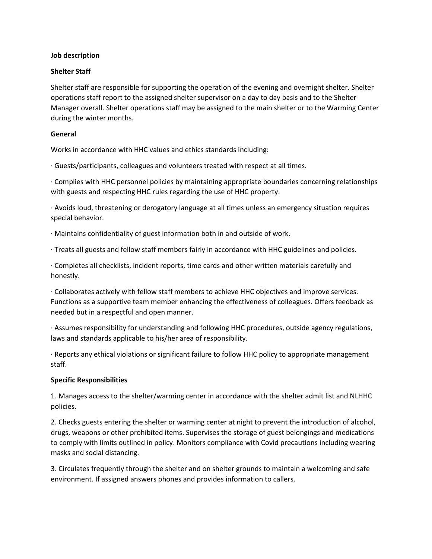### **Job description**

# **Shelter Staff**

Shelter staff are responsible for supporting the operation of the evening and overnight shelter. Shelter operations staff report to the assigned shelter supervisor on a day to day basis and to the Shelter Manager overall. Shelter operations staff may be assigned to the main shelter or to the Warming Center during the winter months.

### **General**

Works in accordance with HHC values and ethics standards including:

· Guests/participants, colleagues and volunteers treated with respect at all times.

· Complies with HHC personnel policies by maintaining appropriate boundaries concerning relationships with guests and respecting HHC rules regarding the use of HHC property.

· Avoids loud, threatening or derogatory language at all times unless an emergency situation requires special behavior.

· Maintains confidentiality of guest information both in and outside of work.

· Treats all guests and fellow staff members fairly in accordance with HHC guidelines and policies.

· Completes all checklists, incident reports, time cards and other written materials carefully and honestly.

· Collaborates actively with fellow staff members to achieve HHC objectives and improve services. Functions as a supportive team member enhancing the effectiveness of colleagues. Offers feedback as needed but in a respectful and open manner.

· Assumes responsibility for understanding and following HHC procedures, outside agency regulations, laws and standards applicable to his/her area of responsibility.

· Reports any ethical violations or significant failure to follow HHC policy to appropriate management staff.

#### **Specific Responsibilities**

1. Manages access to the shelter/warming center in accordance with the shelter admit list and NLHHC policies.

2. Checks guests entering the shelter or warming center at night to prevent the introduction of alcohol, drugs, weapons or other prohibited items. Supervises the storage of guest belongings and medications to comply with limits outlined in policy. Monitors compliance with Covid precautions including wearing masks and social distancing.

3. Circulates frequently through the shelter and on shelter grounds to maintain a welcoming and safe environment. If assigned answers phones and provides information to callers.